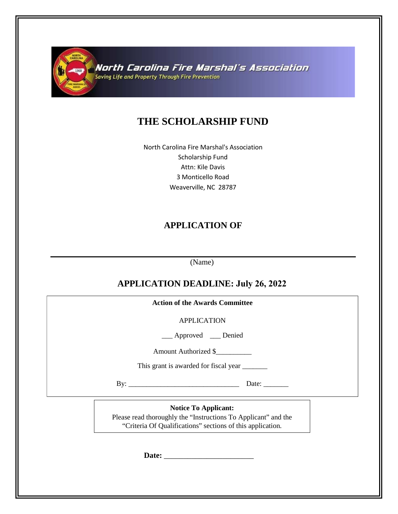

North Carolina Fire Marshal's Association Saving Life and Property Through Fire Prevention

# **THE SCHOLARSHIP FUND**

North Carolina Fire Marshal's Association Scholarship Fund Attn: Kile Davis 3 Monticello Road Weaverville, NC 28787

## **APPLICATION OF**

(Name)

## **APPLICATION DEADLINE: July 26, 2022**

| <b>Action of the Awards Committee</b>                                                                                                                       |
|-------------------------------------------------------------------------------------------------------------------------------------------------------------|
| <b>APPLICATION</b>                                                                                                                                          |
| __ Approved __ Denied                                                                                                                                       |
| Amount Authorized \$                                                                                                                                        |
|                                                                                                                                                             |
| Date: $\_\_$                                                                                                                                                |
| <b>Notice To Applicant:</b><br>Please read thoroughly the "Instructions To Applicant" and the<br>"Criteria Of Qualifications" sections of this application. |
|                                                                                                                                                             |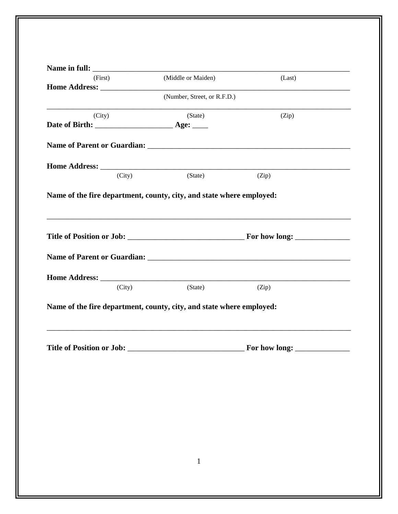| (First) |        | (Middle or Maiden)                                                   | (Last) |
|---------|--------|----------------------------------------------------------------------|--------|
|         |        |                                                                      |        |
|         |        | (Number, Street, or R.F.D.)                                          |        |
| (City)  |        | (State)                                                              | (Zip)  |
|         |        |                                                                      |        |
|         |        |                                                                      |        |
|         |        |                                                                      |        |
|         | (City) | (State)                                                              | (Zip)  |
|         |        |                                                                      |        |
|         |        |                                                                      |        |
|         | (City) | (State)                                                              | (Zip)  |
|         |        | Name of the fire department, county, city, and state where employed: |        |
|         |        |                                                                      |        |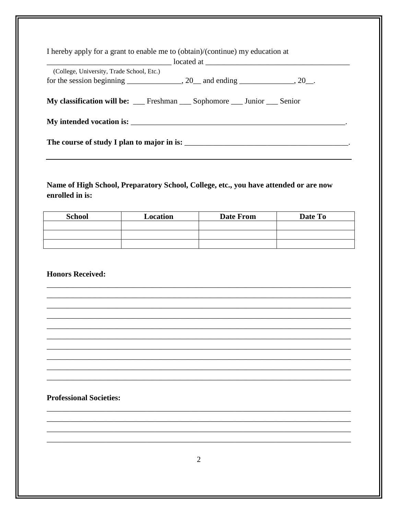| I hereby apply for a grant to enable me to (obtain)/(continue) my education at |  |  |  |  |  |  |
|--------------------------------------------------------------------------------|--|--|--|--|--|--|
|                                                                                |  |  |  |  |  |  |
| (College, University, Trade School, Etc.)                                      |  |  |  |  |  |  |
|                                                                                |  |  |  |  |  |  |
| My classification will be: __ Freshman __ Sophomore __ Junior __ Senior        |  |  |  |  |  |  |
|                                                                                |  |  |  |  |  |  |

### Name of High School, Preparatory School, College, etc., you have attended or are now enrolled in is:

| <b>School</b> | Location | <b>Date From</b> | Date To |
|---------------|----------|------------------|---------|
|               |          |                  |         |
|               |          |                  |         |
|               |          |                  |         |

#### **Honors Received:**

#### **Professional Societies:**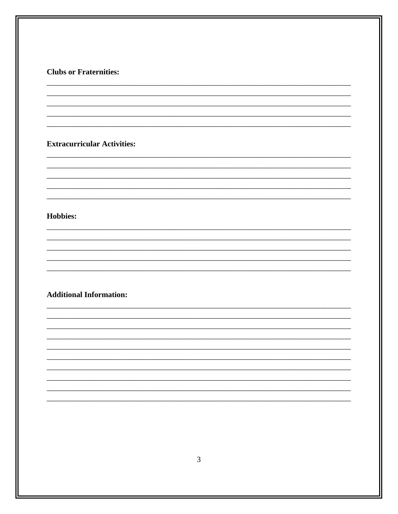#### **Clubs or Fraternities:**

#### **Extracurricular Activities:**

#### **Hobbies:**

### **Additional Information:**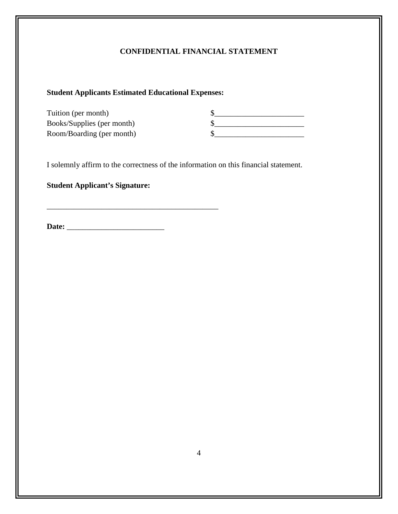## **CONFIDENTIAL FINANCIAL STATEMENT**

#### **Student Applicants Estimated Educational Expenses:**

\_\_\_\_\_\_\_\_\_\_\_\_\_\_\_\_\_\_\_\_\_\_\_\_\_\_\_\_\_\_\_\_\_\_\_\_\_\_\_\_\_\_\_\_

| Tuition (per month)        |  |
|----------------------------|--|
| Books/Supplies (per month) |  |
| Room/Boarding (per month)  |  |

I solemnly affirm to the correctness of the information on this financial statement.

#### **Student Applicant's Signature:**

**Date:** \_\_\_\_\_\_\_\_\_\_\_\_\_\_\_\_\_\_\_\_\_\_\_\_\_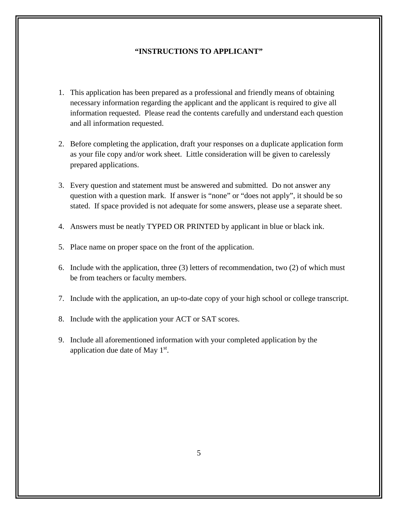#### **"INSTRUCTIONS TO APPLICANT"**

- 1. This application has been prepared as a professional and friendly means of obtaining necessary information regarding the applicant and the applicant is required to give all information requested. Please read the contents carefully and understand each question and all information requested.
- 2. Before completing the application, draft your responses on a duplicate application form as your file copy and/or work sheet. Little consideration will be given to carelessly prepared applications.
- 3. Every question and statement must be answered and submitted. Do not answer any question with a question mark. If answer is "none" or "does not apply", it should be so stated. If space provided is not adequate for some answers, please use a separate sheet.
- 4. Answers must be neatly TYPED OR PRINTED by applicant in blue or black ink.
- 5. Place name on proper space on the front of the application.
- 6. Include with the application, three (3) letters of recommendation, two (2) of which must be from teachers or faculty members.
- 7. Include with the application, an up-to-date copy of your high school or college transcript.
- 8. Include with the application your ACT or SAT scores.
- 9. Include all aforementioned information with your completed application by the application due date of May 1st.